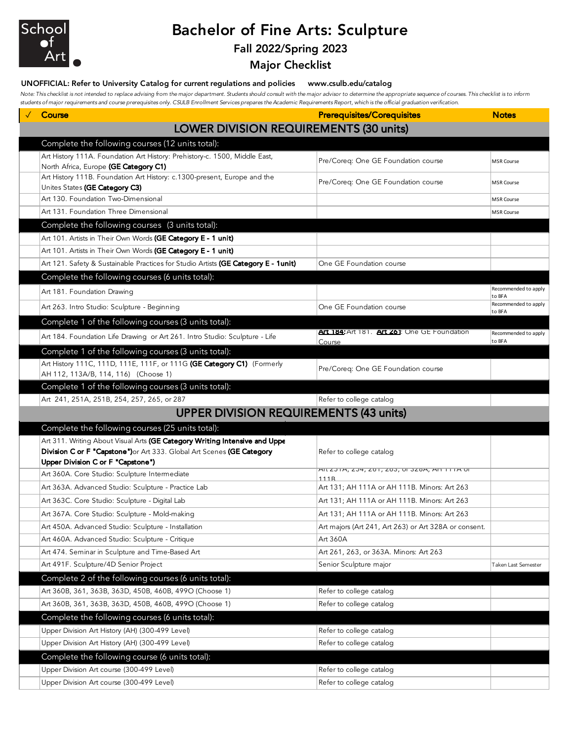

# Bachelor of Fine Arts: Sculpture

### Fall 2022/Spring 2023

### Major Checklist

#### UNOFFICIAL: Refer to University Catalog for current regulations and policies www.csulb.edu/catalog

*Note: This checklist is not intended to replace advising from the major department. Students should consult with the major advisor to determine the appropriate sequence of courses. This checklist is to inform students of major requirements and course prerequisites only. CSULB Enrollment Services prepares the Academic Requirements Report, which is the official graduation verification.*

| Course                                                                                                                                               | <b>Prerequisites/Corequisites</b>                      | <b>Notes</b>                             |
|------------------------------------------------------------------------------------------------------------------------------------------------------|--------------------------------------------------------|------------------------------------------|
| <b>LOWER DIVISION REQUIREMENTS (30 units)</b>                                                                                                        |                                                        |                                          |
| Complete the following courses (12 units total):                                                                                                     |                                                        |                                          |
| Art History 111A. Foundation Art History: Prehistory-c. 1500, Middle East,<br>North Africa, Europe (GE Category C1)                                  | Pre/Coreq: One GE Foundation course                    | MSR Course                               |
| Art History 111B. Foundation Art History: c.1300-present, Europe and the<br>Unites States (GE Category C3)                                           | Pre/Coreq: One GE Foundation course                    | <b>MSR Course</b>                        |
| Art 130. Foundation Two-Dimensional                                                                                                                  |                                                        | <b>MSR Course</b>                        |
| Art 131. Foundation Three Dimensional                                                                                                                |                                                        | <b>MSR Course</b>                        |
| Complete the following courses (3 units total):                                                                                                      |                                                        |                                          |
| Art 101. Artists in Their Own Words (GE Category E - 1 unit)                                                                                         |                                                        |                                          |
| Art 101. Artists in Their Own Words (GE Category E - 1 unit)                                                                                         |                                                        |                                          |
| Art 121. Safety & Sustainable Practices for Studio Artists (GE Category E - 1unit)                                                                   | One GE Foundation course                               |                                          |
| Complete the following courses (6 units total):                                                                                                      |                                                        |                                          |
| Art 181. Foundation Drawing                                                                                                                          |                                                        | Recommended to apply                     |
| Art 263. Intro Studio: Sculpture - Beginning                                                                                                         | One GE Foundation course                               | to BFA<br>Recommended to apply<br>to BFA |
| Complete 1 of the following courses (3 units total):                                                                                                 |                                                        |                                          |
| Art 184. Foundation Life Drawing or Art 261. Intro Studio: Sculpture - Life                                                                          | Art 184: Art 181. Art Zo1: One GE Foundation<br>Course | Recommended to apply<br>to BFA           |
| Complete 1 of the following courses (3 units total):                                                                                                 |                                                        |                                          |
| Art History 111C, 111D, 111E, 111F, or 111G (GE Category C1) (Formerly<br>AH 112, 113A/B, 114, 116) (Choose 1)                                       | Pre/Coreq: One GE Foundation course                    |                                          |
| Complete 1 of the following courses (3 units total):                                                                                                 |                                                        |                                          |
| Art 241, 251A, 251B, 254, 257, 265, or 287                                                                                                           | Refer to college catalog                               |                                          |
| <b>UPPER DIVISION REQUIREMENTS (43 units)</b>                                                                                                        |                                                        |                                          |
| Complete the following courses (25 units total):                                                                                                     |                                                        |                                          |
| Art 311. Writing About Visual Arts (GE Category Writing Intensive and Uppe<br>Division C or F "Capstone") or Art 333. Global Art Scenes (GE Category | Refer to college catalog                               |                                          |
| Upper Division C or F "Capstone")                                                                                                                    |                                                        |                                          |
| Art 360A. Core Studio: Sculpture Intermediate                                                                                                        | AIL ZO IA, 204, 201, 200, OF JZ0A; AN TITA OF<br>111R  |                                          |
| Art 363A. Advanced Studio: Sculpture - Practice Lab                                                                                                  | Art 131; AH 111A or AH 111B. Minors: Art 263           |                                          |
| Art 363C. Core Studio: Sculpture - Digital Lab                                                                                                       | Art 131; AH 111A or AH 111B. Minors: Art 263           |                                          |
| Art 367A. Core Studio: Sculpture - Mold-making                                                                                                       | Art 131; AH 111A or AH 111B. Minors: Art 263           |                                          |
| Art 450A. Advanced Studio: Sculpture - Installation                                                                                                  | Art majors (Art 241, Art 263) or Art 328A or consent.  |                                          |
| Art 460A. Advanced Studio: Sculpture - Critique                                                                                                      | Art 360A                                               |                                          |
| Art 474. Seminar in Sculpture and Time-Based Art                                                                                                     | Art 261, 263, or 363A. Minors: Art 263                 |                                          |
| Art 491F. Sculpture/4D Senior Project                                                                                                                | Senior Sculpture major                                 | Taken Last Semester                      |
| Complete 2 of the following courses (6 units total):                                                                                                 |                                                        |                                          |
| Art 360B, 361, 363B, 363D, 450B, 460B, 499O (Choose 1)                                                                                               | Refer to college catalog                               |                                          |
| Art 360B, 361, 363B, 363D, 450B, 460B, 499O (Choose 1)                                                                                               | Refer to college catalog                               |                                          |
| Complete the following courses (6 units total):                                                                                                      |                                                        |                                          |
| Upper Division Art History (AH) (300-499 Level)                                                                                                      | Refer to college catalog                               |                                          |
| Upper Division Art History (AH) (300-499 Level)                                                                                                      | Refer to college catalog                               |                                          |
| Complete the following course (6 units total):                                                                                                       |                                                        |                                          |
| Upper Division Art course (300-499 Level)                                                                                                            | Refer to college catalog                               |                                          |
| Upper Division Art course (300-499 Level)                                                                                                            | Refer to college catalog                               |                                          |